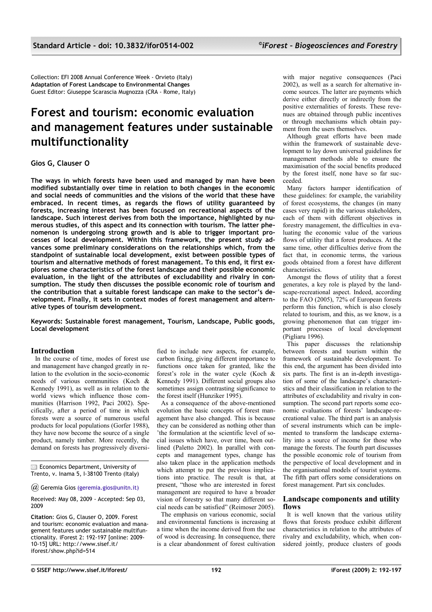Collection: EFI 2008 Annual Conference Week - Orvieto (Italy) **Adaptation of Forest Landscape to Environmental Changes** Guest Editor: Giuseppe Scarascia Mugnozza (CRA - Rome, Italy)

# **Forest and tourism: economic evaluation and management features under sustainable multifunctionality**

# **Gios G, Clauser O**

**The ways in which forests have been used and managed by man have been modified substantially over time in relation to both changes in the economic and social needs of communities and the visions of the world that these have embraced. In recent times, as regards the flows of utility guaranteed by forests, increasing interest has been focused on recreational aspects of the landscape. Such interest derives from both the importance, highlighted by numerous studies, of this aspect and its connection with tourism. The latter phenomenon is undergoing strong growth and is able to trigger important processes of local development. Within this framework, the present study advances some preliminary considerations on the relationships which, from the standpoint of sustainable local development, exist between possible types of tourism and alternative methods of forest management. To this end, it first explores some characteristics of the forest landscape and their possible economic evaluation, in the light of the attributes of excludability and rivalry in consumption. The study then discusses the possible economic role of tourism and the contribution that a suitable forest landscape can make to the sector's development. Finally, it sets in context modes of forest management and alternative types of tourism development.**

**Keywords: Sustainable forest management, Tourism, Landscape, Public goods, Local development**

## **Introduction**

In the course of time, modes of forest use and management have changed greatly in relation to the evolution in the socio-economic needs of various communities (Koch & Kennedy 1991), as well as in relation to the world views which influence those communities (Harrison 1992, Paci 2002). Specifically, after a period of time in which forests were a source of numerous useful products for local populations (Gorfer 1988), they have now become the source of a single product, namely timber. More recently, the demand on forests has progressively diversi-

**Economics Department, University of** Trento, v. Inama 5, I-38100 Trento (Italy)

*@* Geremia Gio[s \(geremia.gios@unitn.it\)](mailto:geremia.gios@unitn.it)

Received: May 08, 2009 - Accepted: Sep 03, 2009

**Citation**: Gios G, Clauser O, 2009. Forest and tourism: economic evaluation and management features under sustainable multifunctionality. iForest 2: 192-197 [online: 2009- 10-15] URL: http://www.sisef.it/ iforest/show.php?id=514

fied to include new aspects, for example, carbon fixing, giving different importance to functions once taken for granted, like the forest's role in the water cycle (Koch & Kennedy 1991). Different social groups also sometimes assign contrasting significance to the forest itself (Hunziker 1995).

As a consequence of the above-mentioned evolution the basic concepts of forest management have also changed. This is because they can be considered as nothing other than 'the formulation at the scientific level of social issues which have, over time, been outlined (Paletto 2002). In parallel with concepts and management types, change has also taken place in the application methods which attempt to put the previous implications into practice. The result is that, at present, "those who are interested in forest management are required to have a broader vision of forestry so that many different social needs can be satisfied" (Reimoser 2005).

The emphasis on various economic, social and environmental functions is increasing at a time when the income derived from the use of wood is decreasing. In consequence, there is a clear abandonment of forest cultivation

with major negative consequences (Paci 2002), as well as a search for alternative income sources. The latter are payments which derive either directly or indirectly from the positive externalities of forests. These revenues are obtained through public incentives or through mechanisms which obtain payment from the users themselves.

Although great efforts have been made within the framework of sustainable development to lay down universal guidelines for management methods able to ensure the maximisation of the social benefits produced by the forest itself, none have so far succeeded.

Many factors hamper identification of these guidelines: for example, the variability of forest ecosystems, the changes (in many cases very rapid) in the various stakeholders, each of them with different objectives in forestry management, the difficulties in evaluating the economic value of the various flows of utility that a forest produces. At the same time, other difficulties derive from the fact that, in economic terms, the various goods obtained from a forest have different characteristics.

Amongst the flows of utility that a forest generates, a key role is played by the landscape-recreational aspect. Indeed, according to the FAO (2005), 72% of European forests perform this function, which is also closely related to tourism, and this, as we know, is a growing phenomenon that can trigger important processes of local development (Pigliaru 1996).

This paper discusses the relationship between forests and tourism within the framework of sustainable development. To this end, the argument has been divided into six parts. The first is an in-depth investigation of some of the landscape's characteristics and their classification in relation to the attributes of excludability and rivalry in consumption. The second part reports some economic evaluations of forests' landscape-recreational value. The third part is an analysis of several instruments which can be implemented to transform the landscape externality into a source of income for those who manage the forests. The fourth part discusses the possible economic role of tourism from the perspective of local development and in the organisational models of tourist systems. The fifth part offers some considerations on forest management. Part six concludes.

#### **Landscape components and utility flows**

It is well known that the various utility flows that forests produce exhibit different characteristics in relation to the attributes of rivalry and excludability, which, when considered jointly, produce clusters of goods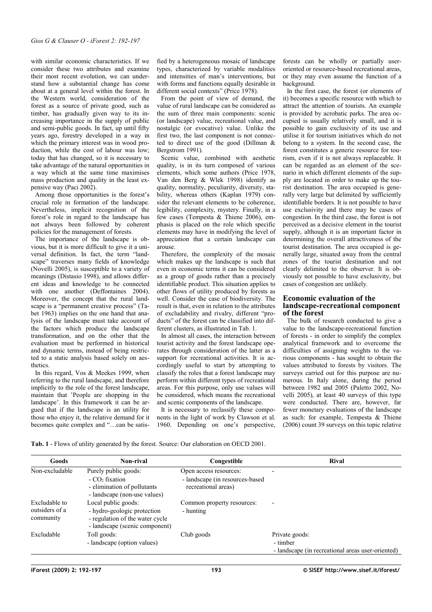with similar economic characteristics. If we consider these two attributes and examine their most recent evolution, we can understand how a substantial change has come about at a general level within the forest. In the Western world, consideration of the forest as a source of private good, such as timber, has gradually given way to its increasing importance in the supply of public and semi-public goods. In fact, up until fifty years ago, forestry developed in a way in which the primary interest was in wood production, while the cost of labour was low; today that has changed, so it is necessary to take advantage of the natural opportunities in a way which at the same time maximises mass production and quality in the least expensive way (Paci 2002).

Among those opportunities is the forest's crucial role in formation of the landscape. Nevertheless, implicit recognition of the forest's role in regard to the landscape has not always been followed by coherent policies for the management of forests.

The importance of the landscape is obvious, but it is more difficult to give it a universal definition. In fact, the term "landscape" traverses many fields of knowledge (Novelli 2005), is susceptible to a variety of meanings (Distasio 1998), and allows different ideas and knowledge to be connected with one another (Deffontaines 2004). Moreover, the concept that the rural landscape is a "permanent creative process" (Tabet 1963) implies on the one hand that analysis of the landscape must take account of the factors which produce the landscape transformation, and on the other that the evaluation must be performed in historical and dynamic terms, instead of being restricted to a static analysis based solely on aesthetics.

In this regard, Vos & Meekes 1999, when referring to the rural landscape, and therefore implicitly to the role of the forest landscape, maintain that 'People are shopping in the landscape'. In this framework it can be argued that if the landscape is an utility for those who enjoy it, the relative demand for it becomes quite complex and "…can be satisfied by a heterogeneous mosaic of landscape types, characterized by variable modalities and intensities of man's interventions, but with forms and functions equally desirable in different social contexts" (Price 1978).

From the point of view of demand, the value of rural landscape can be considered as the sum of three main components: scenic (or landscape) value, recreational value, and nostalgic (or evocative) value. Unlike the first two, the last component is not connected to direct use of the good (Dillman & Bergstrom 1991).

Scenic value, combined with aesthetic quality, is in its turn composed of various elements, which some authors (Price 1978, Van den Berg & Wlek 1998) identify as quality, normality, peculiarity, diversity, stability, whereas others (Kaplan 1979) consider the relevant elements to be coherence, legibility, complexity, mystery. Finally, in a few cases (Tempesta & Thiene 2006), emphasis is placed on the role which specific elements may have in modifying the level of appreciation that a certain landscape can arouse.

Therefore, the complexity of the mosaic which makes up the landscape is such that even in economic terms it can be considered as a group of goods rather than a precisely identifiable product. This situation applies to other flows of utility produced by forests as well. Consider the case of biodiversity. The result is that, even in relation to the attributes of excludability and rivalry, different "products" of the forest can be classified into different clusters, as illustrated in [Tab. 1.](#page-1-0)

In almost all cases, the interaction between tourist activity and the forest landscape operates through consideration of the latter as a support for recreational activities. It is accordingly useful to start by attempting to classify the roles that a forest landscape may perform within different types of recreational areas. For this purpose, only use values will be considered, which means the recreational and scenic components of the landscape.

It is necessary to reclassify these components in the light of work by Clawson et al. 1960. Depending on one's perspective, forests can be wholly or partially useroriented or resource-based recreational areas, or they may even assume the function of a background.

In the first case, the forest (or elements of it) becomes a specific resource with which to attract the attention of tourists. An example is provided by acrobatic parks. The area occupied is usually relatively small, and it is possible to gain exclusivity of its use and utilise it for tourism initiatives which do not belong to a system. In the second case, the forest constitutes a generic resource for tourism, even if it is not always replaceable. It can be regarded as an element of the scenario in which different elements of the supply are located in order to make up the tourist destination. The area occupied is generally very large but delimited by sufficiently identifiable borders. It is not possible to have use exclusivity and there may be cases of congestion. In the third case, the forest is not perceived as a decisive element in the tourist supply, although it is an important factor in determining the overall attractiveness of the tourist destination. The area occupied is generally large, situated away from the central zones of the tourist destination and not clearly delimited to the observer. It is obviously not possible to have exclusivity, but cases of congestion are unlikely.

#### **Economic evaluation of the landscape-recreational component of the forest**

The bulk of research conducted to give a value to the landscape-recreational function of forests - in order to simplify the complex analytical framework and to overcome the difficulties of assigning weights to the various components - has sought to obtain the values attributed to forests by visitors. The surveys carried out for this purpose are numerous. In Italy alone, during the period between 1982 and 2005 (Paletto 2002, Novelli 2005), at least 40 surveys of this type were conducted. There are, however, far fewer monetary evaluations of the landscape as such: for example, Tempesta & Thiene (2006) count 39 surveys on this topic relative

<span id="page-1-0"></span>**Tab. 1** - Flows of utility generated by the forest. Source: Our elaboration on OECD 2001.

| Goods                                        | Non-rival                                                                                                               | Congestible                                                                       | <b>Rival</b>                                                                    |
|----------------------------------------------|-------------------------------------------------------------------------------------------------------------------------|-----------------------------------------------------------------------------------|---------------------------------------------------------------------------------|
| Non-excludable                               | Purely public goods:<br>$-CO2$ fixation<br>- elimination of pollutants<br>- landscape (non-use values)                  | Open access resources:<br>- landscape (in resources-based)<br>recreational areas) |                                                                                 |
| Excludable to<br>outsiders of a<br>community | Local public goods:<br>- hydro-geologic protection<br>- regulation of the water cycle<br>- landscape (scenic component) | Common property resources:<br>- hunting                                           |                                                                                 |
| Excludable                                   | Toll goods:<br>- landscape (option values)                                                                              | Club goods                                                                        | Private goods:<br>- timber<br>- landscape (in recreational areas user-oriented) |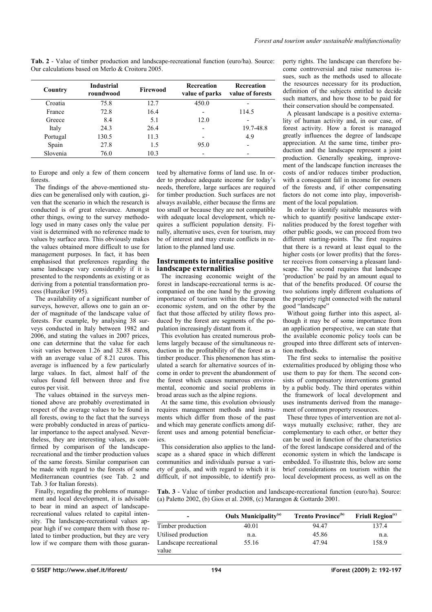<span id="page-2-1"></span>**Tab. 2** - Value of timber production and landscape-recreational function (euro/ha). Source: Our calculations based on Merlo & Croitoru 2005.

| Country  | <b>Industrial</b><br>roundwood | Firewood | <b>Recreation</b><br>value of parks | Recreation<br>value of forests |
|----------|--------------------------------|----------|-------------------------------------|--------------------------------|
| Croatia  | 75.8                           | 12.7     | 450.0                               |                                |
| France   | 72.8                           | 16.4     | $\overline{\phantom{0}}$            | 114.5                          |
| Greece   | 8.4                            | 5.1      | 12.0                                |                                |
| Italy    | 24.3                           | 26.4     | $\overline{\phantom{0}}$            | 19.7-48.8                      |
| Portugal | 130.5                          | 11.3     | $\overline{\phantom{0}}$            | 4.9                            |
| Spain    | 27.8                           | 1.5      | 95.0                                |                                |
| Slovenia | 76.0                           | 10.3     |                                     |                                |

to Europe and only a few of them concern forests.

The findings of the above-mentioned studies can be generalised only with caution, given that the scenario in which the research is conducted is of great relevance. Amongst other things, owing to the survey methodology used in many cases only the value per visit is determined with no reference made to values by surface area. This obviously makes the values obtained more difficult to use for management purposes. In fact, it has been emphasised that preferences regarding the same landscape vary considerably if it is presented to the respondents as existing or as deriving from a potential transformation process (Hunziker 1995).

The availability of a significant number of surveys, however, allows one to gain an order of magnitude of the landscape value of forests. For example, by analysing 38 surveys conducted in Italy between 1982 and 2006, and stating the values in 2007 prices, one can determine that the value for each visit varies between 1.26 and 32.88 euros, with an average value of 8.21 euros. This average is influenced by a few particularly large values. In fact, almost half of the values found fell between three and five euros per visit.

The values obtained in the surveys mentioned above are probably overestimated in respect of the average values to be found in all forests, owing to the fact that the surveys were probably conducted in areas of particular importance to the aspect analysed. Nevertheless, they are interesting values, as confirmed by comparison of the landscaperecreational and the timber production values of the same forests. Similar comparison can be made with regard to the forests of some Mediterranean countries (see [Tab. 2](#page-2-1) and [Tab. 3](#page-2-0) for Italian forests).

Finally, regarding the problems of management and local development, it is advisable to bear in mind an aspect of landscaperecreational values related to capital intensity. The landscape-recreational values appear high if we compare them with those related to timber production, but they are very low if we compare them with those guaranteed by alternative forms of land use. In order to produce adequate income for today's needs, therefore, large surfaces are required for timber production. Such surfaces are not always available, either because the firms are too small or because they are not compatible with adequate local development, which requires a sufficient population density. Finally, alternative uses, even for tourism, may be of interest and may create conflicts in relation to the planned land use.

### **Instruments to internalise positive landscape externalities**

The increasing economic weight of the forest in landscape-recreational terms is accompanied on the one hand by the growing importance of tourism within the European economic system, and on the other by the fact that those affected by utility flows produced by the forest are segments of the population increasingly distant from it.

This evolution has created numerous problems largely because of the simultaneous reduction in the profitability of the forest as a timber producer. This phenomenon has stimulated a search for alternative sources of income in order to prevent the abandonment of the forest which causes numerous environmental, economic and social problems in broad areas such as the alpine regions.

At the same time, this evolution obviously requires management methods and instruments which differ from those of the past and which may generate conflicts among different uses and among potential beneficiaries.

This consideration also applies to the landscape as a shared space in which different communities and individuals pursue a variety of goals, and with regard to which it is difficult, if not impossible, to identify property rights. The landscape can therefore become controversial and raise numerous issues, such as the methods used to allocate the resources necessary for its production, definition of the subjects entitled to decide such matters, and how those to be paid for their conservation should be compensated.

A pleasant landscape is a positive externality of human activity and, in our case, of forest activity. How a forest is managed greatly influences the degree of landscape appreciation. At the same time, timber production and the landscape represent a joint production. Generally speaking, improvement of the landscape function increases the costs of and/or reduces timber production, with a consequent fall in income for owners of the forests and, if other compensating factors do not come into play, impoverishment of the local population.

In order to identify suitable measures with which to quantify positive landscape externalities produced by the forest together with other public goods, we can proceed from two different starting-points. The first requires that there is a reward at least equal to the higher costs (or lower profits) that the forester receives from conserving a pleasant landscape. The second requires that landscape 'production' be paid by an amount equal to that of the benefits produced. Of course the two solutions imply different evaluations of the propriety right connected with the natural good "landscape"

Without going further into this aspect, although it may be of some importance from an application perspective, we can state that the available economic policy tools can be grouped into three different sets of intervention methods.

The first seeks to internalise the positive externalities produced by obliging those who use them to pay for them. The second consists of compensatory interventions granted by a public body. The third operates within the framework of local development and uses instruments derived from the management of common property resources.

These three types of intervention are not always mutually exclusive; rather, they are complementary to each other, or better they can be used in function of the characteristics of the forest landscape considered and of the economic system in which the landscape is embedded. To illustrate this, below are some brief considerations on tourism within the local development process, as well as on the

<span id="page-2-0"></span>**Tab. 3** - Value of timber production and landscape-recreational function (euro/ha). Source: (a) Paletto 2002, (b) Gios et al. 2008, (c) Marangon & Gottardo 2001.

| $\,$                   | <b>Oulx Municipality</b> <sup>(a)</sup> | <b>Trento Province</b> <sup>(b)</sup> | Friuli Region <sup>(c)</sup> |
|------------------------|-----------------------------------------|---------------------------------------|------------------------------|
| Timber production      | 40.01                                   | 94.47                                 | 137.4                        |
| Utilised production    | n.a.                                    | 45.86                                 | n.a.                         |
| Landscape recreational | 55.16                                   | 4794                                  | 158.9                        |
| value                  |                                         |                                       |                              |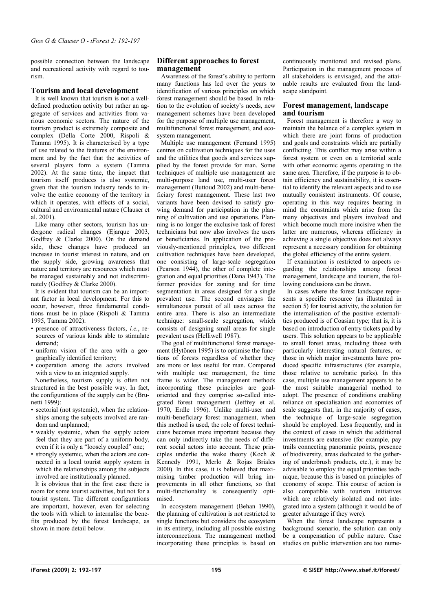possible connection between the landscape and recreational activity with regard to tourism.

# **Tourism and local development**

It is well known that tourism is not a welldefined production activity but rather an aggregate of services and activities from various economic sectors. The nature of the tourism product is extremely composite and complex (Della Corte 2000, Rispoli & Tamma 1995). It is characterised by a type of use related to the features of the environment and by the fact that the activities of several players form a system (Tamma 2002). At the same time, the impact that tourism itself produces is also systemic, given that the tourism industry tends to involve the entire economy of the territory in which it operates, with effects of a social, cultural and environmental nature (Clauser et al. 2001).

Like many other sectors, tourism has undergone radical changes (Ejarque 2003, Godfrey & Clarke 2000). On the demand side, these changes have produced an increase in tourist interest in nature, and on the supply side, growing awareness that nature and territory are resources which must be managed sustainably and not indiscriminately (Godfrey & Clarke 2000).

It is evident that tourism can be an important factor in local development. For this to occur, however, three fundamental conditions must be in place (Rispoli & Tamma 1995, Tamma 2002):

- presence of attractiveness factors, *i.e.*, resources of various kinds able to stimulate demand;
- uniform vision of the area with a geographically identified territory;
- cooperation among the actors involved with a view to an integrated supply.

Nonetheless, tourism supply is often not structured in the best possible way. In fact, the configurations of the supply can be (Brunetti 1999):

- sectorial (not systemic), when the relationships among the subjects involved are random and unplanned;
- weakly systemic, when the supply actors feel that they are part of a uniform body, even if it is only a "loosely coupled" one;
- strongly systemic, when the actors are connected in a local tourist supply system in which the relationships among the subjects involved are institutionally planned.

It is obvious that in the first case there is room for some tourist activities, but not for a tourist system. The different configurations are important, however, even for selecting the tools with which to internalise the benefits produced by the forest landscape, as shown in more detail below.

## **Different approaches to forest management**

Awareness of the forest's ability to perform many functions has led over the years to identification of various principles on which forest management should be based. In relation to the evolution of society's needs, new management schemes have been developed for the purpose of multiple use management, multifunctional forest management, and ecosystem management.

Multiple use management (Fernand 1995) centres on cultivation techniques for the uses and the utilities that goods and services supplied by the forest provide for man. Some techniques of multiple use management are multi-purpose land use, multi-user forest management (Buttoud 2002) and multi-beneficiary forest management. These last two variants have been devised to satisfy growing demand for participation in the planning of cultivation and use operations. Planning is no longer the exclusive task of forest technicians but now also involves the users or beneficiaries. In application of the previously-mentioned principles, two different cultivation techniques have been developed, one consisting of large-scale segregation (Pearson 1944), the other of complete inteeration and equal priorities (Dana  $1943$ ). The former provides for zoning and for time segmentation in areas designed for a single prevalent use. The second envisages the simultaneous pursuit of all uses across the entire area. There is also an intermediate technique: small-scale segregation, which consists of designing small areas for single prevalent uses (Helliwell 1987).

The goal of multifunctional forest management (Hytönen 1995) is to optimise the functions of forests regardless of whether they are more or less useful for man. Compared with multiple use management, the time frame is wider. The management methods incorporating these principles are goaloriented and they comprise so-called integrated forest management (Jeffrey et al. 1970, Erdle 1996). Unlike multi-user and multi-beneficiary forest management, when this method is used, the role of forest technicians becomes more important because they can only indirectly take the needs of different social actors into account. These principles underlie the wake theory (Koch & Kennedy 1991, Merlo & Rojas Briales 2000). In this case, it is believed that maximising timber production will bring improvements in all other functions, so that multi-functionality is consequently optimised.

In ecosystem management (Behan 1990), the planning of cultivation is not restricted to single functions but considers the ecosystem in its entirety, including all possible existing interconnections. The management method incorporating these principles is based on

continuously monitored and revised plans. Participation in the management process of all stakeholders is envisaged, and the attainable results are evaluated from the landscape standpoint.

## **Forest management, landscape and tourism**

Forest management is therefore a way to maintain the balance of a complex system in which there are joint forms of production and goals and constraints which are partially conflicting. This conflict may arise within a forest system or even on a territorial scale with other economic agents operating in the same area. Therefore, if the purpose is to obtain efficiency and sustainability, it is essential to identify the relevant aspects and to use mutually consistent instruments. Of course, operating in this way requires bearing in mind the constraints which arise from the many objectives and players involved and which become much more incisive when the latter are numerous, whereas efficiency in achieving a single objective does not always represent a necessary condition for obtaining the global efficiency of the entire system.

If examination is restricted to aspects regarding the relationships among forest management, landscape and tourism, the following conclusions can be drawn.

In cases where the forest landscape represents a specific resource (as illustrated in section  $5)$  for tourist activity, the solution for the internalisation of the positive externalities produced is of Coasian type; that is, it is based on introduction of entry tickets paid by users. This solution appears to be applicable to small forest areas, including those with particularly interesting natural features, or those in which major investments have produced specific infrastructures (for example, those relative to acrobatic parks). In this case, multiple use management appears to be the most suitable managerial method to adopt. The presence of conditions enabling reliance on specialisation and economies of scale suggests that, in the majority of cases, the technique of large-scale segregation should be employed. Less frequently, and in the context of cases in which the additional investments are extensive (for example, pay trails connecting panoramic points, presence of biodiversity, areas dedicated to the gathering of underbrush products, etc.), it may be advisable to employ the equal priorities technique, because this is based on principles of economy of scope. This course of action is also compatible with tourism initiatives which are relatively isolated and not integrated into a system (although it would be of greater advantage if they were).

When the forest landscape represents a background scenario, the solution can only be a compensation of public nature. Case studies on public intervention are too nume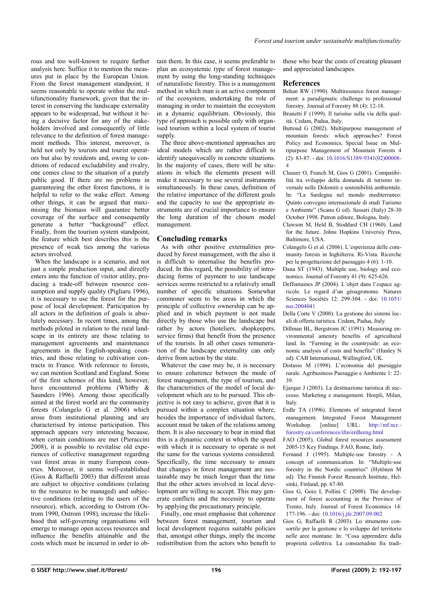rous and too well-known to require further analysis here. Suffice it to mention the measures put in place by the European Union. From the forest management standpoint, it seems reasonable to operate within the multifunctionality framework, given that the interest in conserving the landscape externality appears to be widespread, but without it being a decisive factor for any of the stakeholders involved and consequently of little relevance to the definition of forest management methods. This interest, moreover, is held not only by tourists and tourist operators but also by residents and, owing to conditions of reduced excludability and rivalry, one comes close to the situation of a purely public good. If there are no problems in guaranteeing the other forest functions, it is helpful to refer to the wake effect. Among other things, it can be argued that maximising the biomass will guarantee better coverage of the surface and consequently generate a better "background" effect. Finally, from the tourism system standpoint, the feature which best describes this is the presence of weak ties among the various actors involved.

When the landscape is a scenario, and not just a simple production input, and directly enters into the function of visitor utility, producing a trade-off between resource consumption and supply quality (Pigliaru 1996). it is necessary to use the forest for the purpose of local development. Participation by all actors in the definition of goals is absolutely necessary. In recent times, among the methods piloted in relation to the rural landscape in its entirety are those relating to management agreements and maintenance agreements in the English-speaking countries, and those relating to cultivation contracts in France. With reference to forests, we can mention Scotland and England. Some of the first schemes of this kind, however, have encountered problems (Whitby & Saunders 1996). Among those specifically aimed at the forest world are the community forests (Colangelo G et al. 2006) which arose from institutional planning and are characterised by intense participation. This approach appears very interesting because, when certain conditions are met (Pieraccini 2008), it is possible to revitalise old experiences of collective management regarding vast forest areas in many European countries. Moreover, it seems well-established (Gios & Raffaelli 2003) that different areas are subject to objective conditions (relating to the resource to be managed) and subjective conditions (relating to the users of the resource), which, according to Ostrom (Ostrom 1990, Ostrom 1998), increase the likelihood that self-governing organisations will emerge to manage open access resources and influence the benefits attainable and the costs which must be incurred in order to obtain them. In this case, it seems preferable to plan an ecosystemic type of forest management by using the long-standing techniques of naturalistic forestry. This is a management method in which man is an active component of the ecosystem, undertaking the role of managing in order to maintain the ecosystem in a dynamic equilibrium. Obviously, this type of approach is possible only with organised tourism within a local system of tourist supply.

The three above-mentioned approaches are ideal models which are rather difficult to identify unequivocally in concrete situations. In the majority of cases, there will be situations in which the elements present will make it necessary to use several instruments simultaneously. In these cases, definition of the relative importance of the different goals and the capacity to use the appropriate instruments are of crucial importance to ensure the long duration of the chosen model management.

# **Concluding remarks**

As with other positive externalities produced by forest management, with the also it is difficult to internalise the benefits produced. In this regard, the possibility of introducing forms of payment to use landscape services seems restricted to a relatively small number of specific situations. Somewhat commoner seem to be areas in which the principle of collective ownership can be applied and in which payment is not made directly by those who use the landscape but rather by actors (hoteliers, shopkeepers, service firms) that benefit from the presence of the tourists. In all other cases remuneration of the landscape externality can only derive from action by the state.

Whatever the case may be, it is necessary to ensure coherence between the mode of forest management, the type of tourism, and the characteristics of the model of local development which are to be pursued. This objective is not easy to achieve, given that it is pursued within a complex situation where, besides the importance of individual factors, account must be taken of the relations among them. It is also necessary to bear in mind that this is a dynamic context in which the speed with which it is necessary to operate is not the same for the various systems considered. Specifically, the time necessary to ensure that changes in forest management are sustainable may be much longer than the time that the other actors involved in local development are willing to accept. This may generate conflicts and the necessity to operate by applying the precautionary principle.

Finally, one must emphasise that coherence between forest management, tourism and local development requires suitable policies that, amongst other things, imply the income redistribution from the actors who benefit to those who bear the costs of creating pleasant and appreciated landscapes.

#### **References**

- Behan RW (1990). Multiresource forest management: a paradigmatic challenge to professional forestry. Journal of Forestry 88 (4): 12-18.
- Brunetti F (1999). Il turismo sulla via della qualità. Cedam, Padua, Italy.
- Buttoud G (2002). Multipurpose management of mountain forests: which approaches? Forest Policy and Economics, Special Issue on Multipurpose Management of Mountain Forests 4 (2): 83-87. - doi: [10.1016/S1389-9341\(02\)00008-](http://dx.doi.org/10.1016/S1389-9341%5C(02%5C)00008-4) [4](http://dx.doi.org/10.1016/S1389-9341%5C(02%5C)00008-4)
- Clauser O, Franch M, Gios G (2001). Compatibilità tra sviluppo della domanda di turismo invernale nelle Dolomiti e sostenibilità ambientale. In: "La Sardegna nel mondo mediterraneo: Quinto convegno internazionale di studi Turismo e Ambiente" (Scanu G ed). Sassari (Italy) 28-30 October 1998. Patron editore, Bologna, Italy.
- Clawson M, Held B, Stoddard CH (1960). Land for the future. Johns Hopkins Universiy Press, Baltimore, USA.
- Colangelo G et al. (2006). L'esperienza delle community forests in Inghilterra. Ri-Vista. Ricerche per la progettazione del paesaggio 4 (6): 1-10.
- Dana ST (1943). Multiple use, biology and economics. Journal of Forestry 41 (9): 625-626.
- Deffontaines JP (2004). L'objet dans l'espace agricole. Le regard d'un géoagronome. Natures Sciences Sociétés 12: 299-304. - doi: [10.1051/](http://dx.doi.org/10.1051/nss:2004041) [nss:2004041](http://dx.doi.org/10.1051/nss:2004041)
- Della Corte V (2000). La gestione dei sistemi locali di offerta turistica. Cedam, Padua, Italy.
- Dillman BL, Bergstrom JC (1991). Measuring environmental amenity benefits of agricultural land. In: "Farming in the countryside: an economic analysis of costs and benefits" (Hanley N ed). CAB International, Wallingford, UK.
- Distasio M (1998). L'economia del paesaggio rurale. Agribusiness Paesaggio e Ambiente 1: 22- 39.
- Ejarque J (2003). La destinazione turistica di successo. Marketing e management. Hoepli, Milan, Italy.
- Erdle TA (1996). Elements of integrated forest management. Integrated Forest Management Workshop. [online] URL: [http://mf.ncr.](http://mf.ncr.forestry.ca/conferences/ifm/erdleeng.html) [forestry.ca/conferences/ifm/erdleeng.html](http://mf.ncr.forestry.ca/conferences/ifm/erdleeng.html)
- FAO (2005). Global forest resources assessment 2005-15 Key Findings. FAO, Rome, Italy.
- Fernand J (1995). Multiple-use forestry A concept of communication. In: "Multiple-use forestry in the Nordic countries" (Hytönen M ed). The Finnish Forest Research Institute, Helsinki, Finland, pp. 67-80.
- Gios G, Goio I, Pollini C (2008). The development of forest accounting in the Province of Trento, Italy. Journal of Forest Economics 14: 177-196. - doi: [10.1016/j.jfe.2007.09.002](http://dx.doi.org/10.1016/j.jfe.2007.09.002)
- Gios G, Raffaelli R (2003). Lo strumento consortile per la gestione e lo sviluppo del territorio nelle aree montane. In: "Cosa apprendere dalla proprietà collettiva. La consuetudine fra tradi